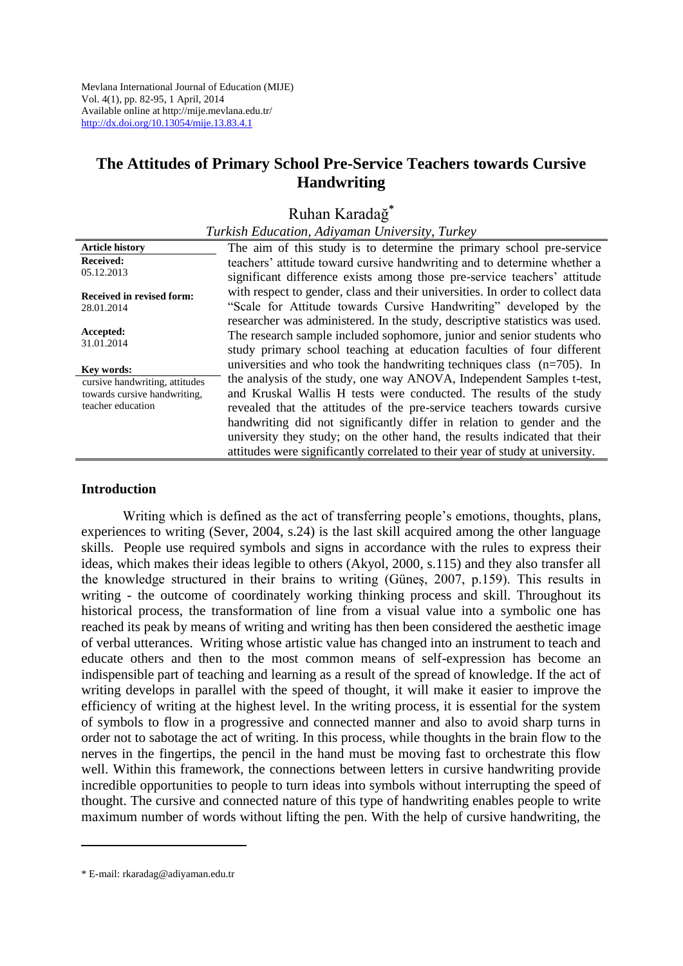Mevlana International Journal of Education (MIJE) Vol. 4(1), pp. 82-95, 1 April, 2014 Available online a[t http://mije.mevlana.edu.tr/](http://mije.mevlana.edu.tr/) <http://dx.doi.org/10.13054/mije.13.83.4.1>

## **The Attitudes of Primary School Pre-Service Teachers towards Cursive Handwriting**

# Ruhan Karadağ**\***

|                                                                                     | Turkish Education, Adiyaman University, Turkey                                                                                                                                                                                        |
|-------------------------------------------------------------------------------------|---------------------------------------------------------------------------------------------------------------------------------------------------------------------------------------------------------------------------------------|
| <b>Article history</b>                                                              | The aim of this study is to determine the primary school pre-service                                                                                                                                                                  |
| <b>Received:</b><br>05.12.2013                                                      | teachers' attitude toward cursive handwriting and to determine whether a<br>significant difference exists among those pre-service teachers' attitude                                                                                  |
| <b>Received in revised form:</b><br>28.01.2014                                      | with respect to gender, class and their universities. In order to collect data<br>"Scale for Attitude towards Cursive Handwriting" developed by the                                                                                   |
| Accepted:<br>31.01.2014                                                             | researcher was administered. In the study, descriptive statistics was used.<br>The research sample included sophomore, junior and senior students who<br>study primary school teaching at education faculties of four different       |
| Key words:                                                                          | universities and who took the handwriting techniques class $(n=705)$ . In                                                                                                                                                             |
| cursive handwriting, attitudes<br>towards cursive handwriting,<br>teacher education | the analysis of the study, one way ANOVA, Independent Samples t-test,<br>and Kruskal Wallis H tests were conducted. The results of the study<br>revealed that the attitudes of the pre-service teachers towards cursive               |
|                                                                                     | handwriting did not significantly differ in relation to gender and the<br>university they study; on the other hand, the results indicated that their<br>attitudes were significantly correlated to their year of study at university. |

#### **Introduction**

Writing which is defined as the act of transferring people's emotions, thoughts, plans, experiences to writing (Sever, 2004, s.24) is the last skill acquired among the other language skills. People use required symbols and signs in accordance with the rules to express their ideas, which makes their ideas legible to others (Akyol, 2000, s.115) and they also transfer all the knowledge structured in their brains to writing (Güneş, 2007, p.159). This results in writing - the outcome of coordinately working thinking process and skill. Throughout its historical process, the transformation of line from a visual value into a symbolic one has reached its peak by means of writing and writing has then been considered the aesthetic image of verbal utterances. Writing whose artistic value has changed into an instrument to teach and educate others and then to the most common means of self-expression has become an indispensible part of teaching and learning as a result of the spread of knowledge. If the act of writing develops in parallel with the speed of thought, it will make it easier to improve the efficiency of writing at the highest level. In the writing process, it is essential for the system of symbols to flow in a progressive and connected manner and also to avoid sharp turns in order not to sabotage the act of writing. In this process, while thoughts in the brain flow to the nerves in the fingertips, the pencil in the hand must be moving fast to orchestrate this flow well. Within this framework, the connections between letters in cursive handwriting provide incredible opportunities to people to turn ideas into symbols without interrupting the speed of thought. The cursive and connected nature of this type of handwriting enables people to write maximum number of words without lifting the pen. With the help of cursive handwriting, the

<u>.</u>

<sup>\*</sup> E-mail: rkaradag@adiyaman.edu.tr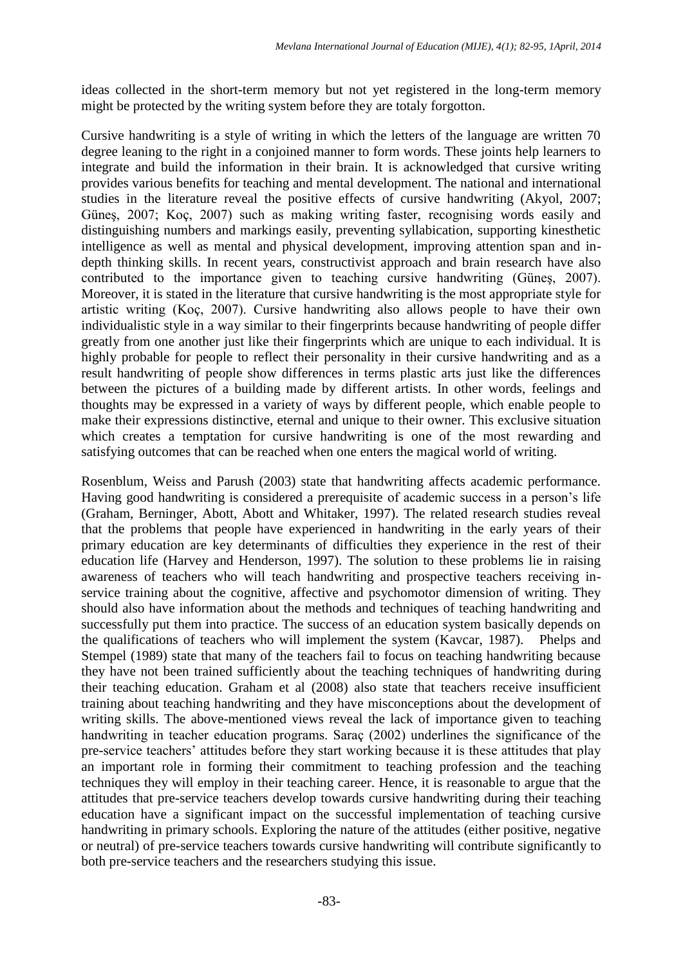ideas collected in the short-term memory but not yet registered in the long-term memory might be protected by the writing system before they are totaly forgotton.

Cursive handwriting is a style of writing in which the letters of the language are written 70 degree leaning to the right in a conjoined manner to form words. These joints help learners to integrate and build the information in their brain. It is acknowledged that cursive writing provides various benefits for teaching and mental development. The national and international studies in the literature reveal the positive effects of cursive handwriting (Akyol, 2007; Güneş, 2007; Koç, 2007) such as making writing faster, recognising words easily and distinguishing numbers and markings easily, preventing syllabication, supporting kinesthetic intelligence as well as mental and physical development, improving attention span and indepth thinking skills. In recent years, constructivist approach and brain research have also contributed to the importance given to teaching cursive handwriting (Güneş, 2007). Moreover, it is stated in the literature that cursive handwriting is the most appropriate style for artistic writing (Koç, 2007). Cursive handwriting also allows people to have their own individualistic style in a way similar to their fingerprints because handwriting of people differ greatly from one another just like their fingerprints which are unique to each individual. It is highly probable for people to reflect their personality in their cursive handwriting and as a result handwriting of people show differences in terms plastic arts just like the differences between the pictures of a building made by different artists. In other words, feelings and thoughts may be expressed in a variety of ways by different people, which enable people to make their expressions distinctive, eternal and unique to their owner. This exclusive situation which creates a temptation for cursive handwriting is one of the most rewarding and satisfying outcomes that can be reached when one enters the magical world of writing.

Rosenblum, Weiss and Parush (2003) state that handwriting affects academic performance. Having good handwriting is considered a prerequisite of academic success in a person's life (Graham, Berninger, Abott, Abott and Whitaker, 1997). The related research studies reveal that the problems that people have experienced in handwriting in the early years of their primary education are key determinants of difficulties they experience in the rest of their education life (Harvey and Henderson, 1997). The solution to these problems lie in raising awareness of teachers who will teach handwriting and prospective teachers receiving inservice training about the cognitive, affective and psychomotor dimension of writing. They should also have information about the methods and techniques of teaching handwriting and successfully put them into practice. The success of an education system basically depends on the qualifications of teachers who will implement the system (Kavcar, 1987). Phelps and Stempel (1989) state that many of the teachers fail to focus on teaching handwriting because they have not been trained sufficiently about the teaching techniques of handwriting during their teaching education. Graham et al (2008) also state that teachers receive insufficient training about teaching handwriting and they have misconceptions about the development of writing skills. The above-mentioned views reveal the lack of importance given to teaching handwriting in teacher education programs. Saraç (2002) underlines the significance of the pre-service teachers' attitudes before they start working because it is these attitudes that play an important role in forming their commitment to teaching profession and the teaching techniques they will employ in their teaching career. Hence, it is reasonable to argue that the attitudes that pre-service teachers develop towards cursive handwriting during their teaching education have a significant impact on the successful implementation of teaching cursive handwriting in primary schools. Exploring the nature of the attitudes (either positive, negative or neutral) of pre-service teachers towards cursive handwriting will contribute significantly to both pre-service teachers and the researchers studying this issue.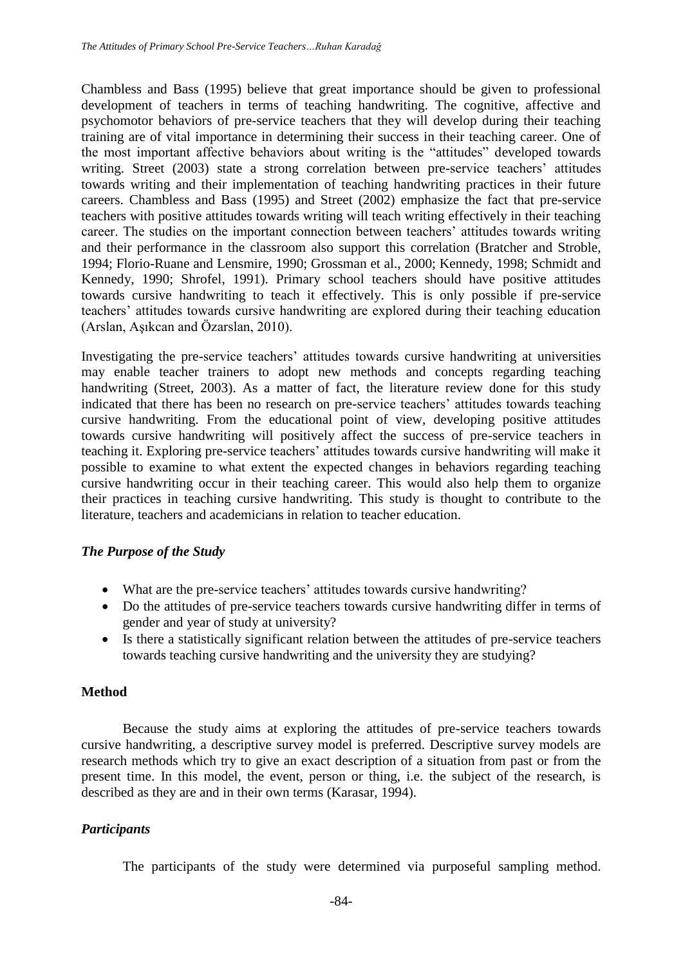Chambless and Bass (1995) believe that great importance should be given to professional development of teachers in terms of teaching handwriting. The cognitive, affective and psychomotor behaviors of pre-service teachers that they will develop during their teaching training are of vital importance in determining their success in their teaching career. One of the most important affective behaviors about writing is the "attitudes" developed towards writing. Street (2003) state a strong correlation between pre-service teachers' attitudes towards writing and their implementation of teaching handwriting practices in their future careers. Chambless and Bass (1995) and Street (2002) emphasize the fact that pre-service teachers with positive attitudes towards writing will teach writing effectively in their teaching career. The studies on the important connection between teachers' attitudes towards writing and their performance in the classroom also support this correlation (Bratcher and Stroble, 1994; Florio-Ruane and Lensmire, 1990; Grossman et al., 2000; Kennedy, 1998; Schmidt and Kennedy, 1990; Shrofel, 1991). Primary school teachers should have positive attitudes towards cursive handwriting to teach it effectively. This is only possible if pre-service teachers' attitudes towards cursive handwriting are explored during their teaching education (Arslan, Aşıkcan and Özarslan, 2010).

Investigating the pre-service teachers' attitudes towards cursive handwriting at universities may enable teacher trainers to adopt new methods and concepts regarding teaching handwriting (Street, 2003). As a matter of fact, the literature review done for this study indicated that there has been no research on pre-service teachers' attitudes towards teaching cursive handwriting. From the educational point of view, developing positive attitudes towards cursive handwriting will positively affect the success of pre-service teachers in teaching it. Exploring pre-service teachers' attitudes towards cursive handwriting will make it possible to examine to what extent the expected changes in behaviors regarding teaching cursive handwriting occur in their teaching career. This would also help them to organize their practices in teaching cursive handwriting. This study is thought to contribute to the literature, teachers and academicians in relation to teacher education.

#### *The Purpose of the Study*

- What are the pre-service teachers' attitudes towards cursive handwriting?
- Do the attitudes of pre-service teachers towards cursive handwriting differ in terms of gender and year of study at university?
- Is there a statistically significant relation between the attitudes of pre-service teachers towards teaching cursive handwriting and the university they are studying?

#### **Method**

Because the study aims at exploring the attitudes of pre-service teachers towards cursive handwriting, a descriptive survey model is preferred. Descriptive survey models are research methods which try to give an exact description of a situation from past or from the present time. In this model, the event, person or thing, i.e. the subject of the research, is described as they are and in their own terms (Karasar, 1994).

## *Participants*

The participants of the study were determined via purposeful sampling method.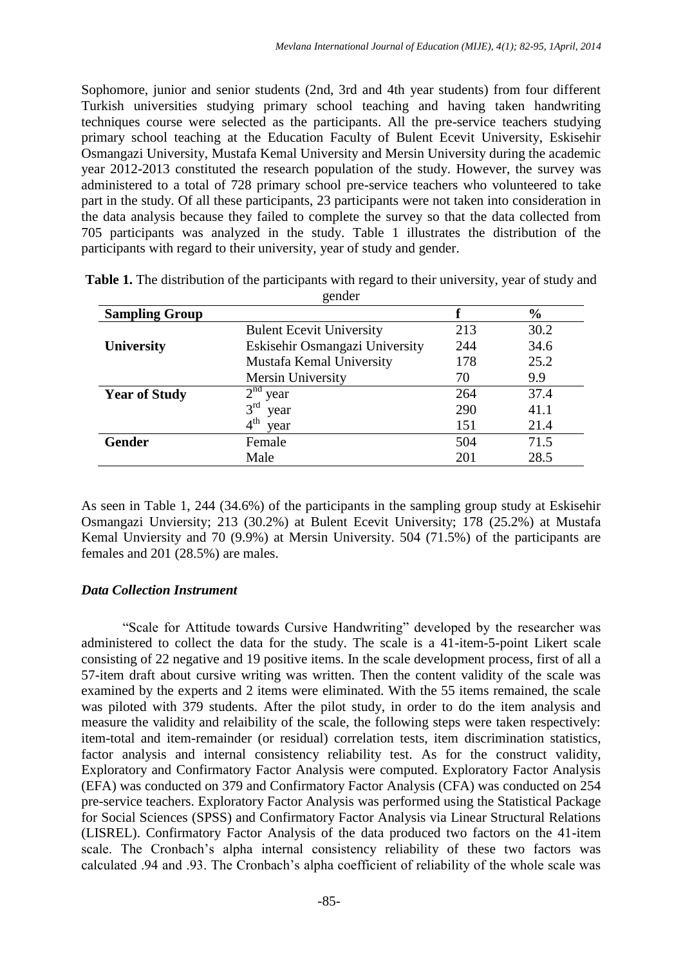Sophomore, junior and senior students (2nd, 3rd and 4th year students) from four different Turkish universities studying primary school teaching and having taken handwriting techniques course were selected as the participants. All the pre-service teachers studying primary school teaching at the Education Faculty of Bulent Ecevit University, Eskisehir Osmangazi University, Mustafa Kemal University and Mersin University during the academic year 2012-2013 constituted the research population of the study. However, the survey was administered to a total of 728 primary school pre-service teachers who volunteered to take part in the study. Of all these participants, 23 participants were not taken into consideration in the data analysis because they failed to complete the survey so that the data collected from 705 participants was analyzed in the study. Table 1 illustrates the distribution of the participants with regard to their university, year of study and gender.

|                       | gunuu                           |     |               |
|-----------------------|---------------------------------|-----|---------------|
| <b>Sampling Group</b> |                                 |     | $\frac{6}{6}$ |
|                       | <b>Bulent Ecevit University</b> | 213 | 30.2          |
| <b>University</b>     | Eskisehir Osmangazi University  | 244 | 34.6          |
|                       | Mustafa Kemal University        | 178 | 25.2          |
|                       | Mersin University               | 70  | 9.9           |
| <b>Year of Study</b>  | $2nd$ year                      | 264 | 37.4          |
|                       | 3 <sup>rd</sup><br>year         | 290 | 41.1          |
|                       | $4^{\text{th}}$<br>year         | 151 | 21.4          |
| <b>Gender</b>         | Female                          | 504 | 71.5          |
|                       | Male                            | 201 | 28.5          |

**Table 1.** The distribution of the participants with regard to their university, year of study and gender

As seen in Table 1, 244 (34.6%) of the participants in the sampling group study at Eskisehir Osmangazi Unviersity; 213 (30.2%) at Bulent Ecevit University; 178 (25.2%) at Mustafa Kemal Unviersity and 70 (9.9%) at Mersin University. 504 (71.5%) of the participants are females and 201 (28.5%) are males.

#### *Data Collection Instrument*

"Scale for Attitude towards Cursive Handwriting" developed by the researcher was administered to collect the data for the study. The scale is a 41-item-5-point Likert scale consisting of 22 negative and 19 positive items. In the scale development process, first of all a 57-item draft about cursive writing was written. Then the content validity of the scale was examined by the experts and 2 items were eliminated. With the 55 items remained, the scale was piloted with 379 students. After the pilot study, in order to do the item analysis and measure the validity and relaibility of the scale, the following steps were taken respectively: item-total and item-remainder (or residual) correlation tests, item discrimination statistics, factor analysis and internal consistency reliability test. As for the construct validity, Exploratory and Confirmatory Factor Analysis were computed. Exploratory Factor Analysis (EFA) was conducted on 379 and Confirmatory Factor Analysis (CFA) was conducted on 254 pre-service teachers. Exploratory Factor Analysis was performed using the Statistical Package for Social Sciences (SPSS) and Confirmatory Factor Analysis via Linear Structural Relations (LISREL). Confirmatory Factor Analysis of the data produced two factors on the 41-item scale. The Cronbach's alpha internal consistency reliability of these two factors was calculated .94 and .93. The Cronbach's alpha coefficient of reliability of the whole scale was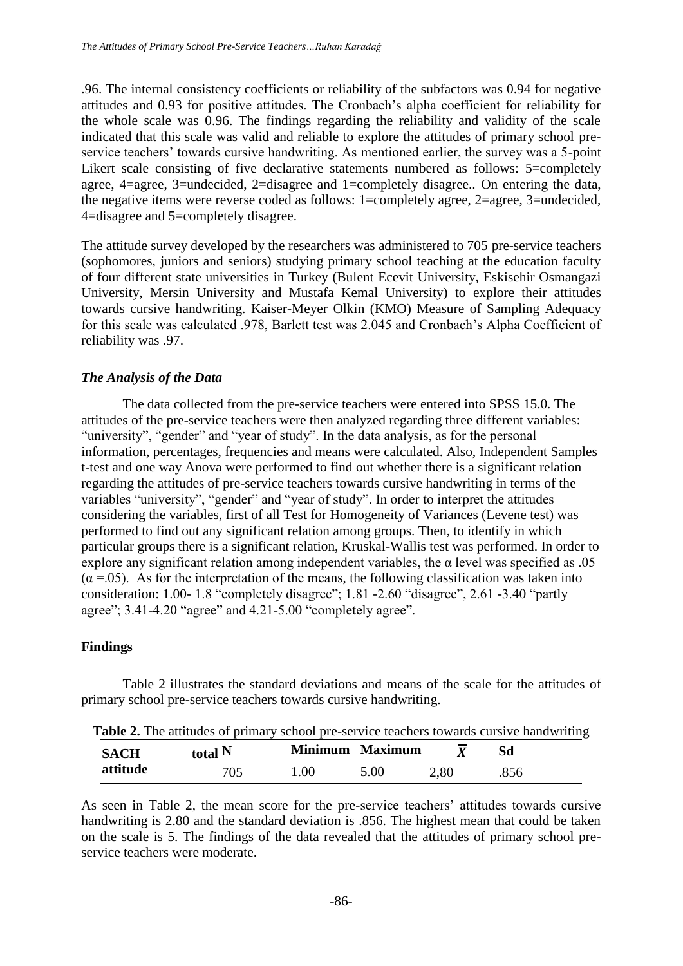.96. The internal consistency coefficients or reliability of the subfactors was 0.94 for negative attitudes and 0.93 for positive attitudes. The Cronbach's alpha coefficient for reliability for the whole scale was 0.96. The findings regarding the reliability and validity of the scale indicated that this scale was valid and reliable to explore the attitudes of primary school preservice teachers' towards cursive handwriting. As mentioned earlier, the survey was a 5-point Likert scale consisting of five declarative statements numbered as follows: 5=completely agree, 4=agree, 3=undecided, 2=disagree and 1=completely disagree.. On entering the data, the negative items were reverse coded as follows: 1=completely agree, 2=agree, 3=undecided, 4=disagree and 5=completely disagree.

The attitude survey developed by the researchers was administered to 705 pre-service teachers (sophomores, juniors and seniors) studying primary school teaching at the education faculty of four different state universities in Turkey (Bulent Ecevit University, Eskisehir Osmangazi University, Mersin University and Mustafa Kemal University) to explore their attitudes towards cursive handwriting. Kaiser-Meyer Olkin (KMO) Measure of Sampling Adequacy for this scale was calculated .978, Barlett test was 2.045 and Cronbach's Alpha Coefficient of reliability was .97.

## *The Analysis of the Data*

The data collected from the pre-service teachers were entered into SPSS 15.0. The attitudes of the pre-service teachers were then analyzed regarding three different variables: "university", "gender" and "year of study". In the data analysis, as for the personal information, percentages, frequencies and means were calculated. Also, Independent Samples t-test and one way Anova were performed to find out whether there is a significant relation regarding the attitudes of pre-service teachers towards cursive handwriting in terms of the variables "university", "gender" and "year of study". In order to interpret the attitudes considering the variables, first of all Test for Homogeneity of Variances (Levene test) was performed to find out any significant relation among groups. Then, to identify in which particular groups there is a significant relation, Kruskal-Wallis test was performed. In order to explore any significant relation among independent variables, the α level was specified as .05  $(\alpha = .05)$ . As for the interpretation of the means, the following classification was taken into consideration: 1.00- 1.8 "completely disagree"; 1.81 -2.60 "disagree", 2.61 -3.40 "partly agree"; 3.41-4.20 "agree" and 4.21-5.00 "completely agree".

#### **Findings**

Table 2 illustrates the standard deviations and means of the scale for the attitudes of primary school pre-service teachers towards cursive handwriting.

| Table 2. The attitudes of primary school pre-service teachers towards cursive handwriting |
|-------------------------------------------------------------------------------------------|
|-------------------------------------------------------------------------------------------|

| <b>SACH</b> | total N |      | Minimum Maximum | $\overline{\mathbf{v}}$ | Sd   |
|-------------|---------|------|-----------------|-------------------------|------|
| attitude    | 705     | .00. | 5.00            | 2,80                    | .856 |

As seen in Table 2, the mean score for the pre-service teachers' attitudes towards cursive handwriting is 2.80 and the standard deviation is .856. The highest mean that could be taken on the scale is 5. The findings of the data revealed that the attitudes of primary school preservice teachers were moderate.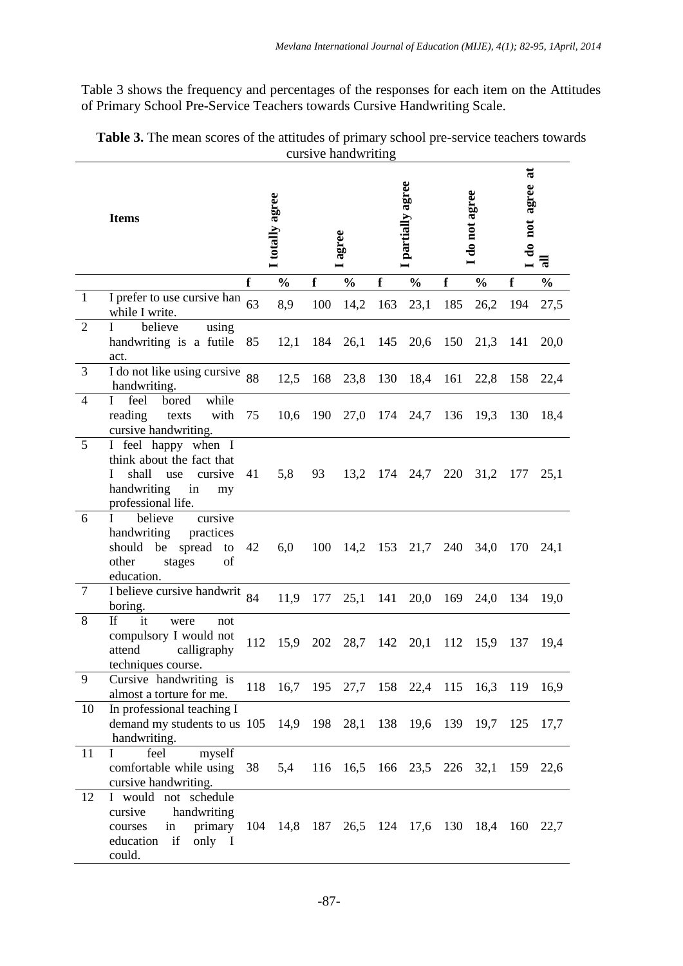Table 3 shows the frequency and percentages of the responses for each item on the Attitudes of Primary School Pre-Service Teachers towards Cursive Handwriting Scale.

|                 | <b>Items</b>                                                                                                                      |     | I totally agree                              |     | agree         |     | partially agree |          | do not agree                   | $\overline{a}$<br>agree<br>do not | 픦             |
|-----------------|-----------------------------------------------------------------------------------------------------------------------------------|-----|----------------------------------------------|-----|---------------|-----|-----------------|----------|--------------------------------|-----------------------------------|---------------|
|                 |                                                                                                                                   | f   | $\frac{0}{0}$                                | f   | $\frac{0}{0}$ | f   | $\frac{0}{0}$   | f        | $\frac{0}{0}$                  | f                                 | $\frac{0}{0}$ |
| $\mathbf{1}$    | I prefer to use cursive han<br>while I write.                                                                                     | 63  | 8,9                                          | 100 | 14,2          | 163 | 23,1            | 185      | 26,2                           | 194                               | 27,5          |
| $\overline{2}$  | believe<br>using<br>L<br>handwriting is a futile<br>act.                                                                          | 85  | 12,1                                         | 184 | 26,1          | 145 | 20,6            | 150      | 21,3                           | 141                               | 20,0          |
| 3               | $\overline{I}$ do not like using cursive 88<br>handwriting.                                                                       |     | 12,5                                         | 168 | 23,8          | 130 | 18,4            | 161      | 22,8                           | 158                               | 22,4          |
| 4               | while<br>feel<br>bored<br>L<br>reading<br>with<br>texts<br>cursive handwriting.                                                   | 75  | 10,6                                         | 190 | 27,0          | 174 | 24,7            | 136      | 19,3                           | 130                               | 18,4          |
| 5               | I feel happy when I<br>think about the fact that<br>shall<br>cursive<br>L<br>use<br>handwriting<br>in<br>my<br>professional life. | 41  | 5,8                                          | 93  | 13,2          |     | 174 24,7        | 220      | 31,2 177                       |                                   | 25,1          |
| 6               | cursive<br>believe<br>$\mathbf I$<br>handwriting<br>practices<br>spread to<br>should be<br>other<br>stages<br>of<br>education.    | 42  | 6,0                                          | 100 | 14,2 153 21,7 |     |                 |          | 240 34,0                       | 170                               | 24,1          |
| $7\phantom{.0}$ | I believe cursive handwrit $84$<br>boring.                                                                                        |     | 11,9                                         | 177 | 25,1          | 141 |                 | 20,0 169 | 24,0                           | 134                               | 19,0          |
| 8               | it<br><b>If</b><br>were<br>not<br>compulsory I would not<br>attend<br>calligraphy<br>techniques course.                           | 112 | 15,9                                         | 202 | 28,7          | 142 | 20,1            | 112      | 15,9                           | 137                               | 19,4          |
| 9               | Cursive handwriting is<br>almost a torture for me.                                                                                | 118 | 16,7                                         |     |               |     |                 |          | 195 27,7 158 22,4 115 16,3 119 |                                   | 16,9          |
| 10              | In professional teaching I<br>demand my students to us 105<br>handwriting.                                                        |     |                                              |     | 14,9 198 28,1 |     |                 |          | 138 19,6 139 19,7 125          |                                   | 17,7          |
| 11              | feel<br>myself<br>Ι<br>comfortable while using<br>cursive handwriting.                                                            | 38  | 5,4                                          | 116 |               |     |                 |          | 16,5 166 23,5 226 32,1 159     |                                   | 22,6          |
| 12              | I would not schedule<br>cursive<br>handwriting<br>primary<br>in<br>courses<br>education if<br>only I<br>could.                    |     | 104 14,8 187 26,5 124 17,6 130 18,4 160 22,7 |     |               |     |                 |          |                                |                                   |               |

| Table 3. The mean scores of the attitudes of primary school pre-service teachers towards |  |
|------------------------------------------------------------------------------------------|--|
| cursive handwriting                                                                      |  |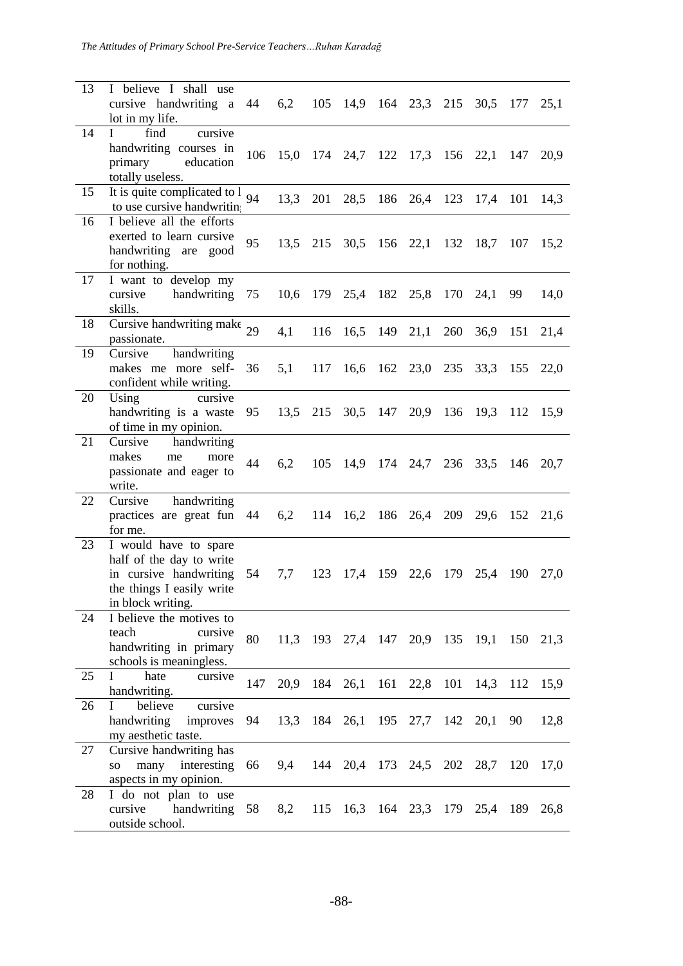*The Attitudes of Primary School Pre-Service Teachers…Ruhan Karadağ*

| 13 | I believe I shall use<br>cursive handwriting a<br>lot in my life.                                                             | 44  | 6,2  | 105 | 14,9                                     | 164 23,3 215  |     | 30,5                       | 177 | 25,1 |
|----|-------------------------------------------------------------------------------------------------------------------------------|-----|------|-----|------------------------------------------|---------------|-----|----------------------------|-----|------|
| 14 | L<br>find<br>cursive<br>handwriting courses in<br>primary education<br>totally useless.                                       | 106 |      |     | 15,0 174 24,7 122 17,3 156 22,1 147      |               |     |                            |     | 20,9 |
| 15 | It is quite complicated to l<br>to use cursive handwritin                                                                     | 94  | 13,3 | 201 | 28,5                                     | 186 26,4 123  |     | 17,4                       | 101 | 14,3 |
| 16 | I believe all the efforts<br>exerted to learn cursive<br>handwriting are good<br>for nothing.                                 | 95  |      |     | 13,5 215 30,5 156 22,1 132 18,7 107 15,2 |               |     |                            |     |      |
| 17 | I want to develop my<br>handwriting<br>cursive<br>skills.                                                                     | 75  | 10,6 | 179 |                                          | 25,4 182 25,8 | 170 | 24,1                       | 99  | 14,0 |
| 18 | Cursive handwriting make $_{29}$<br>passionate.                                                                               |     | 4,1  | 116 | 16,5                                     | 149 21,1      | 260 | 36,9                       | 151 | 21,4 |
| 19 | handwriting<br>Cursive<br>makes me more self-<br>confident while writing.                                                     | 36  | 5,1  | 117 |                                          |               |     | 16,6 162 23,0 235 33,3 155 |     | 22,0 |
| 20 | Using<br>cursive<br>handwriting is a waste<br>of time in my opinion.                                                          | 95  |      |     | 13,5 215 30,5 147 20,9 136 19,3          |               |     |                            | 112 | 15,9 |
| 21 | Cursive handwriting<br>makes<br>me<br>more<br>passionate and eager to<br>write.                                               | 44  | 6,2  |     | 105 14,9 174 24,7 236 33,5 146 20,7      |               |     |                            |     |      |
| 22 | handwriting<br>Cursive<br>practices are great fun 44<br>for me.                                                               |     | 6,2  |     | 114 16,2 186 26,4                        |               | 209 | 29,6                       | 152 | 21,6 |
| 23 | I would have to spare<br>half of the day to write<br>in cursive handwriting<br>the things I easily write<br>in block writing. | 54  | 7,7  | 123 |                                          |               |     | 17,4 159 22,6 179 25,4 190 |     | 27,0 |
| 24 | I believe the motives to<br>teach<br>cursive<br>handwriting in primary<br>schools is meaningless.                             | 80  |      |     | 11,3 193 27,4 147 20,9 135 19,1 150 21,3 |               |     |                            |     |      |
| 25 | L<br>hate<br>cursive<br>handwriting.                                                                                          | 147 | 20,9 |     | 184 26,1 161 22,8 101 14,3 112           |               |     |                            |     | 15,9 |
| 26 | cursive<br>believe<br>I<br>handwriting<br>improves<br>my aesthetic taste.                                                     | 94  | 13,3 |     | 184 26,1 195 27,7 142 20,1               |               |     |                            | 90  | 12,8 |
| 27 | Cursive handwriting has<br>so many interesting<br>aspects in my opinion.                                                      | 66  |      |     | 9,4 144 20,4 173 24,5 202 28,7           |               |     |                            | 120 | 17,0 |
| 28 | I do not plan to use<br>cursive handwriting<br>outside school.                                                                | 58  | 8,2  |     | 115 16,3 164 23,3 179 25,4               |               |     |                            | 189 | 26,8 |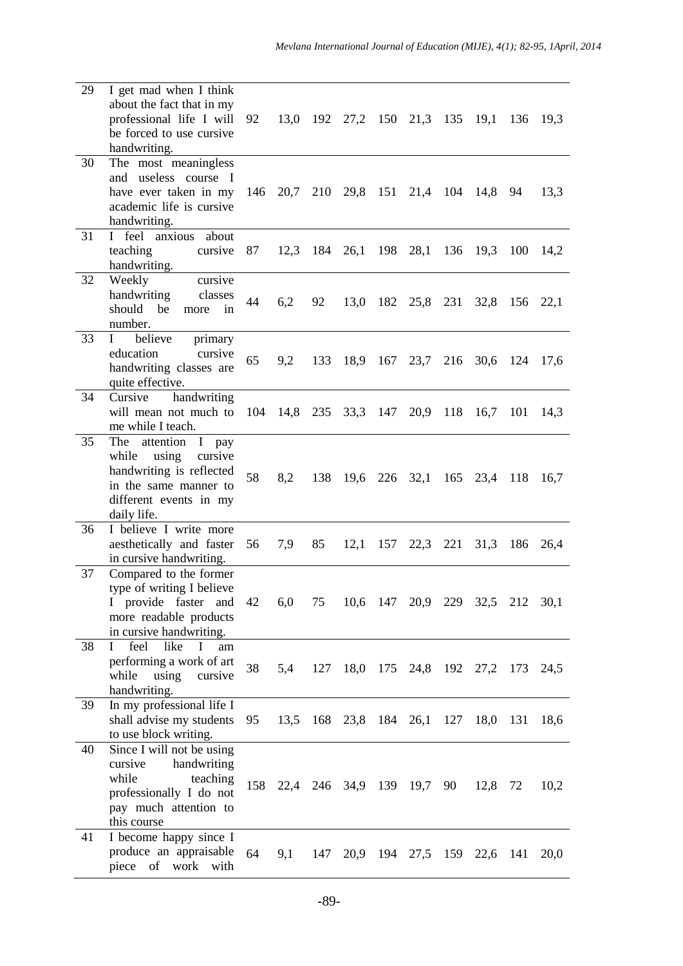| 29 | I get mad when I think<br>about the fact that in my<br>professional life I will<br>be forced to use cursive<br>handwriting.                                                | 92 |      |     | 13,0 192 27,2 150 21,3 135 19,1 136 19,3 |                                 |              |     |      |
|----|----------------------------------------------------------------------------------------------------------------------------------------------------------------------------|----|------|-----|------------------------------------------|---------------------------------|--------------|-----|------|
| 30 | The most meaningless<br>and useless course I<br>have ever taken in my<br>academic life is cursive<br>handwriting.                                                          |    |      |     | 146 20,7 210 29,8 151 21,4 104 14,8 94   |                                 |              |     | 13,3 |
| 31 | I feel anxious about<br>teaching cursive 87<br>handwriting.                                                                                                                |    |      |     | 12,3 184 26,1 198 28,1                   |                                 | 136 19,3     | 100 | 14,2 |
| 32 | Weekly<br>cursive<br>handwriting<br>classes<br>should be<br>more<br>1n<br>number.                                                                                          | 44 | 6,2  | 92  |                                          | 13,0 182 25,8 231 32,8 156 22,1 |              |     |      |
| 33 | believe<br>$\mathbf{I}$<br>primary<br>education<br>cursive<br>handwriting classes are<br>quite effective.                                                                  | 65 | 9,2  | 133 | 18,9 167 23,7 216 30,6 124 17,6          |                                 |              |     |      |
| 34 | Cursive handwriting<br>will mean not much to 104 14,8 235 33,3 147 20,9 118 16,7<br>me while I teach.                                                                      |    |      |     |                                          |                                 |              | 101 | 14,3 |
| 35 | The attention I pay<br>while<br>using<br>cursive<br>handwriting is reflected<br>in the same manner to<br>different events in my<br>daily life.                             | 58 | 8,2  |     | 138 19,6 226 32,1 165 23,4 118           |                                 |              |     | 16,7 |
| 36 | I believe I write more<br>aesthetically and faster<br>in cursive handwriting.                                                                                              | 56 | 7,9  | 85  |                                          | 12,1 157 22,3 221 31,3 186      |              |     | 26,4 |
| 37 | Compared to the former<br>type of writing I believe<br>I provide faster and 42 6,0 75 10,6 147 20,9 229 32,5 212 30,1<br>more readable products<br>in cursive handwriting. |    |      |     |                                          |                                 |              |     |      |
| 38 | $\mathbf{I}$<br>feel<br>like<br>$\mathbf{I}$<br>am<br>performing a work of art<br>while using<br>cursive<br>handwriting.                                                   | 38 | 5,4  |     | 127 18,0 175 24,8 192 27,2 173 24,5      |                                 |              |     |      |
| 39 | In my professional life I<br>shall advise my students<br>to use block writing.                                                                                             | 95 | 13,5 |     | 168 23,8 184 26,1                        |                                 | 127 18,0 131 |     | 18,6 |
| 40 | Since I will not be using<br>handwriting<br>cursive<br>while<br>teaching<br>professionally I do not<br>pay much attention to<br>this course                                |    |      |     | 158 22,4 246 34,9 139 19,7 90 12,8 72    |                                 |              |     | 10,2 |
| 41 | I become happy since I<br>produce an appraisable<br>piece of work with                                                                                                     | 64 | 9,1  | 147 |                                          | 20,9 194 27,5 159 22,6 141 20,0 |              |     |      |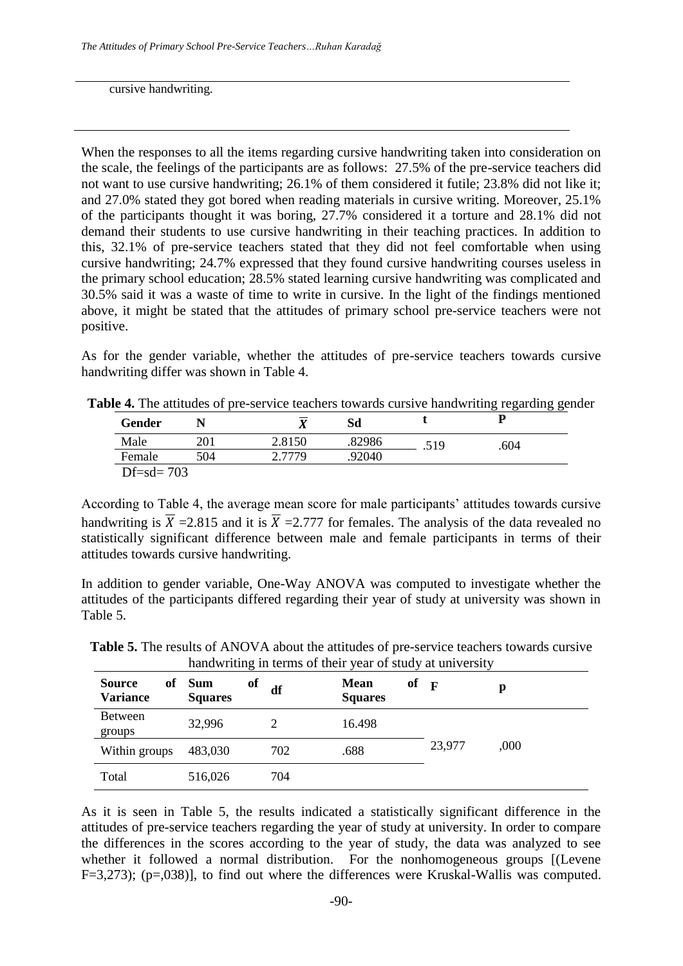cursive handwriting.

When the responses to all the items regarding cursive handwriting taken into consideration on the scale, the feelings of the participants are as follows: 27.5% of the pre-service teachers did not want to use cursive handwriting; 26.1% of them considered it futile; 23.8% did not like it; and 27.0% stated they got bored when reading materials in cursive writing. Moreover, 25.1% of the participants thought it was boring, 27.7% considered it a torture and 28.1% did not demand their students to use cursive handwriting in their teaching practices. In addition to this, 32.1% of pre-service teachers stated that they did not feel comfortable when using cursive handwriting; 24.7% expressed that they found cursive handwriting courses useless in the primary school education; 28.5% stated learning cursive handwriting was complicated and 30.5% said it was a waste of time to write in cursive. In the light of the findings mentioned above, it might be stated that the attitudes of primary school pre-service teachers were not positive.

As for the gender variable, whether the attitudes of pre-service teachers towards cursive handwriting differ was shown in Table 4.

| <b>Gender</b>   |     | Δ      | Sd     |      |      |
|-----------------|-----|--------|--------|------|------|
| Male            | 201 | 2.8150 | .82986 | .519 | .604 |
| Female          | 504 | 2.7779 | .92040 |      |      |
| $Df = sd = 703$ |     |        |        |      |      |

According to Table 4, the average mean score for male participants' attitudes towards cursive handwriting is  $\overline{X}$  =2.815 and it is  $\overline{X}$  =2.777 for females. The analysis of the data revealed no statistically significant difference between male and female participants in terms of their attitudes towards cursive handwriting.

In addition to gender variable, One-Way ANOVA was computed to investigate whether the attitudes of the participants differed regarding their year of study at university was shown in Table 5.

| <b>Source</b><br>оf<br><b>Variance</b> | <b>Sum</b><br><b>Squares</b> | of<br>df | of<br><b>Mean</b><br><b>Squares</b> | $\mathbf{F}$ | р    |
|----------------------------------------|------------------------------|----------|-------------------------------------|--------------|------|
| <b>Between</b><br>groups               | 32,996                       |          | 16.498                              |              |      |
| Within groups                          | 483,030                      | 702      | .688                                | 23,977       | ,000 |
| Total                                  | 516,026                      | 704      |                                     |              |      |

**Table 5.** The results of ANOVA about the attitudes of pre-service teachers towards cursive handwriting in terms of their year of study at university

As it is seen in Table 5, the results indicated a statistically significant difference in the attitudes of pre-service teachers regarding the year of study at university. In order to compare the differences in the scores according to the year of study, the data was analyzed to see whether it followed a normal distribution. For the nonhomogeneous groups [(Levene F=3,273); (p=,038)], to find out where the differences were Kruskal-Wallis was computed.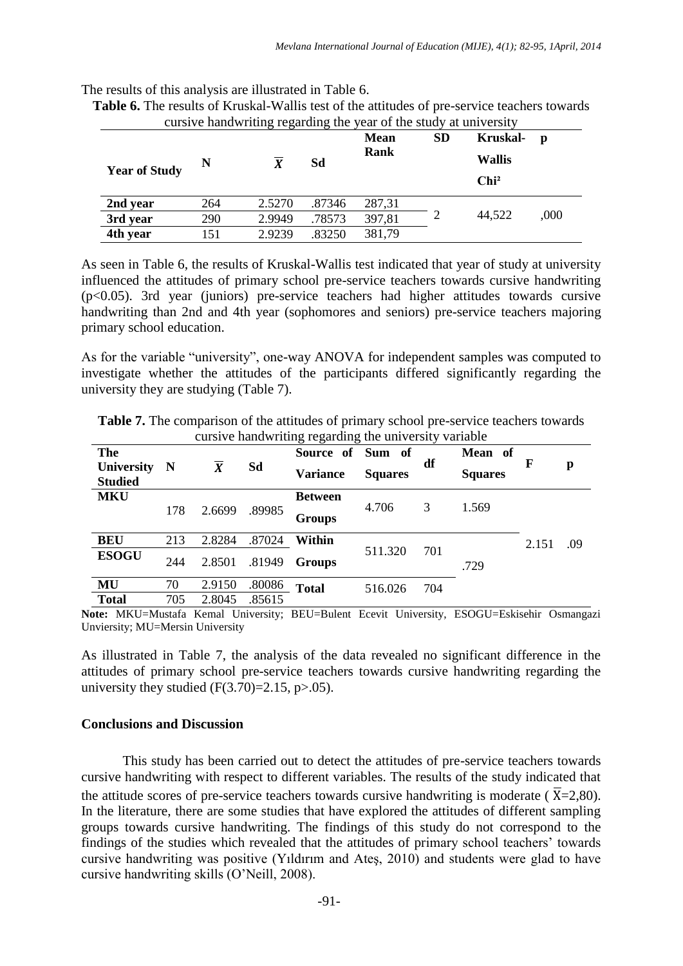The results of this analysis are illustrated in Table 6.

| cursive handwriting regarding the year of the study at university |     |        |        |                     |           |                                                      |      |  |  |  |  |
|-------------------------------------------------------------------|-----|--------|--------|---------------------|-----------|------------------------------------------------------|------|--|--|--|--|
| <b>Year of Study</b>                                              | N   |        | Sd     | <b>Mean</b><br>Rank | <b>SD</b> | <b>Kruskal-</b><br><b>Wallis</b><br>Chi <sup>2</sup> | p    |  |  |  |  |
| 2nd year                                                          | 264 | 2.5270 | .87346 | 287,31              |           |                                                      |      |  |  |  |  |
| 3rd year                                                          | 290 | 2.9949 | .78573 | 397,81              |           | 44,522                                               | ,000 |  |  |  |  |
| 4th year                                                          | 151 | 2.9239 | .83250 | 381,79              |           |                                                      |      |  |  |  |  |

**Table 6.** The results of Kruskal-Wallis test of the attitudes of pre-service teachers towards

As seen in Table 6, the results of Kruskal-Wallis test indicated that year of study at university influenced the attitudes of primary school pre-service teachers towards cursive handwriting (p<0.05). 3rd year (juniors) pre-service teachers had higher attitudes towards cursive handwriting than 2nd and 4th year (sophomores and seniors) pre-service teachers majoring primary school education.

As for the variable "university", one-way ANOVA for independent samples was computed to investigate whether the attitudes of the participants differed significantly regarding the university they are studying (Table 7).

| The                          |             |        |        | Source of Sum of |                |     | Mean of        |       |     |
|------------------------------|-------------|--------|--------|------------------|----------------|-----|----------------|-------|-----|
| University<br><b>Studied</b> | $\mathbf N$ | X      | Sd     | <b>Variance</b>  | <b>Squares</b> | df  | <b>Squares</b> | F     | p   |
| <b>MKU</b>                   |             |        |        | <b>Between</b>   | 4.706          | 3   | 1.569          |       |     |
|                              | 178         | 2.6699 | .89985 | <b>Groups</b>    |                |     |                |       |     |
| <b>BEU</b>                   | 213         | 2.8284 | .87024 | Within           | 511.320        | 701 | .729           | 2.151 | .09 |
| <b>ESOGU</b>                 | 244         | 2.8501 | .81949 | Groups           |                |     |                |       |     |
| MU                           | 70          | 2.9150 | .80086 | <b>Total</b>     | 516.026        | 704 |                |       |     |
| <b>Total</b>                 | 705         | 2.8045 | .85615 |                  |                |     |                |       |     |

**Table 7.** The comparison of the attitudes of primary school pre-service teachers towards cursive handwriting regarding the university variable

**Note:** MKU=Mustafa Kemal University; BEU=Bulent Ecevit University, ESOGU=Eskisehir Osmangazi Unviersity; MU=Mersin University

As illustrated in Table 7, the analysis of the data revealed no significant difference in the attitudes of primary school pre-service teachers towards cursive handwriting regarding the university they studied  $(F(3.70)=2.15, p>0.05)$ .

#### **Conclusions and Discussion**

This study has been carried out to detect the attitudes of pre-service teachers towards cursive handwriting with respect to different variables. The results of the study indicated that the attitude scores of pre-service teachers towards cursive handwriting is moderate ( $\overline{X}$ =2,80). In the literature, there are some studies that have explored the attitudes of different sampling groups towards cursive handwriting. The findings of this study do not correspond to the findings of the studies which revealed that the attitudes of primary school teachers' towards cursive handwriting was positive (Yıldırım and Ateş, 2010) and students were glad to have cursive handwriting skills (O'Neill, 2008).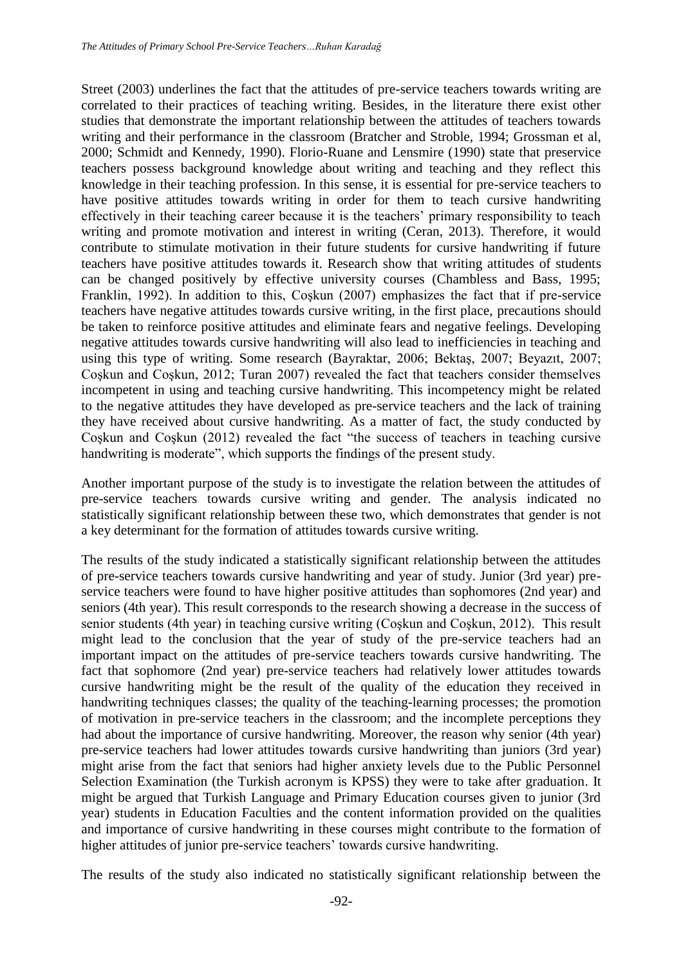Street (2003) underlines the fact that the attitudes of pre-service teachers towards writing are correlated to their practices of teaching writing. Besides, in the literature there exist other studies that demonstrate the important relationship between the attitudes of teachers towards writing and their performance in the classroom (Bratcher and Stroble, 1994; Grossman et al, 2000; Schmidt and Kennedy, 1990). Florio-Ruane and Lensmire (1990) state that preservice teachers possess background knowledge about writing and teaching and they reflect this knowledge in their teaching profession. In this sense, it is essential for pre-service teachers to have positive attitudes towards writing in order for them to teach cursive handwriting effectively in their teaching career because it is the teachers' primary responsibility to teach writing and promote motivation and interest in writing (Ceran, 2013). Therefore, it would contribute to stimulate motivation in their future students for cursive handwriting if future teachers have positive attitudes towards it. Research show that writing attitudes of students can be changed positively by effective university courses (Chambless and Bass, 1995; Franklin, 1992). In addition to this, Coşkun (2007) emphasizes the fact that if pre-service teachers have negative attitudes towards cursive writing, in the first place, precautions should be taken to reinforce positive attitudes and eliminate fears and negative feelings. Developing negative attitudes towards cursive handwriting will also lead to inefficiencies in teaching and using this type of writing. Some research (Bayraktar, 2006; Bektaş, 2007; Beyazıt, 2007; Coşkun and Coşkun, 2012; Turan 2007) revealed the fact that teachers consider themselves incompetent in using and teaching cursive handwriting. This incompetency might be related to the negative attitudes they have developed as pre-service teachers and the lack of training they have received about cursive handwriting. As a matter of fact, the study conducted by Coşkun and Coşkun (2012) revealed the fact "the success of teachers in teaching cursive handwriting is moderate", which supports the findings of the present study.

Another important purpose of the study is to investigate the relation between the attitudes of pre-service teachers towards cursive writing and gender. The analysis indicated no statistically significant relationship between these two, which demonstrates that gender is not a key determinant for the formation of attitudes towards cursive writing.

The results of the study indicated a statistically significant relationship between the attitudes of pre-service teachers towards cursive handwriting and year of study. Junior (3rd year) preservice teachers were found to have higher positive attitudes than sophomores (2nd year) and seniors (4th year). This result corresponds to the research showing a decrease in the success of senior students (4th year) in teaching cursive writing (Coşkun and Coşkun, 2012). This result might lead to the conclusion that the year of study of the pre-service teachers had an important impact on the attitudes of pre-service teachers towards cursive handwriting. The fact that sophomore (2nd year) pre-service teachers had relatively lower attitudes towards cursive handwriting might be the result of the quality of the education they received in handwriting techniques classes; the quality of the teaching-learning processes; the promotion of motivation in pre-service teachers in the classroom; and the incomplete perceptions they had about the importance of cursive handwriting. Moreover, the reason why senior (4th year) pre-service teachers had lower attitudes towards cursive handwriting than juniors (3rd year) might arise from the fact that seniors had higher anxiety levels due to the Public Personnel Selection Examination (the Turkish acronym is KPSS) they were to take after graduation. It might be argued that Turkish Language and Primary Education courses given to junior (3rd year) students in Education Faculties and the content information provided on the qualities and importance of cursive handwriting in these courses might contribute to the formation of higher attitudes of junior pre-service teachers' towards cursive handwriting.

The results of the study also indicated no statistically significant relationship between the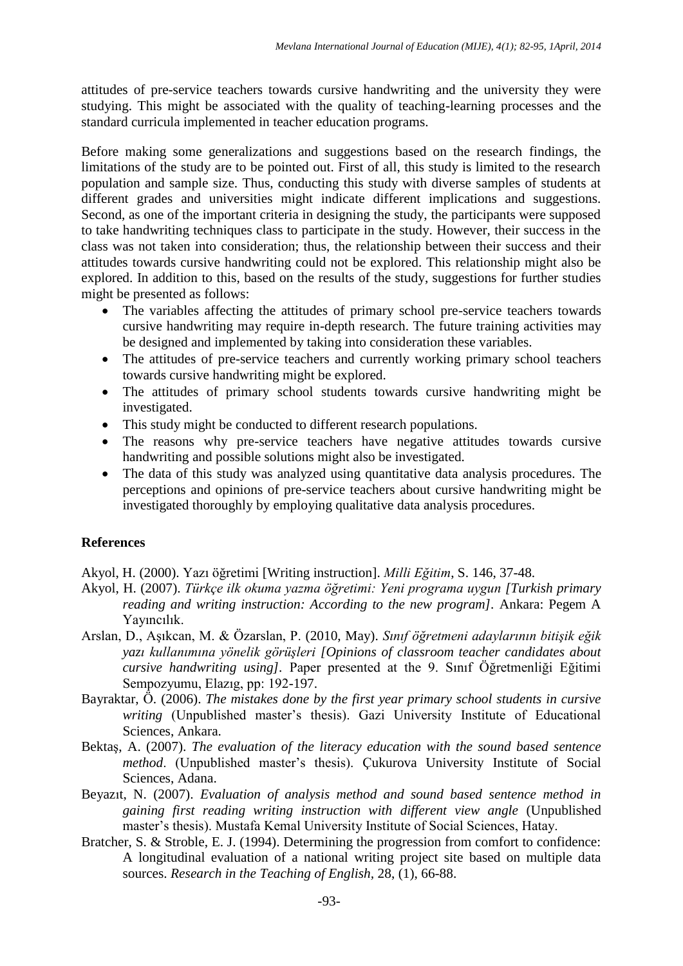attitudes of pre-service teachers towards cursive handwriting and the university they were studying. This might be associated with the quality of teaching-learning processes and the standard curricula implemented in teacher education programs.

Before making some generalizations and suggestions based on the research findings, the limitations of the study are to be pointed out. First of all, this study is limited to the research population and sample size. Thus, conducting this study with diverse samples of students at different grades and universities might indicate different implications and suggestions. Second, as one of the important criteria in designing the study, the participants were supposed to take handwriting techniques class to participate in the study. However, their success in the class was not taken into consideration; thus, the relationship between their success and their attitudes towards cursive handwriting could not be explored. This relationship might also be explored. In addition to this, based on the results of the study, suggestions for further studies might be presented as follows:

- The variables affecting the attitudes of primary school pre-service teachers towards cursive handwriting may require in-depth research. The future training activities may be designed and implemented by taking into consideration these variables.
- The attitudes of pre-service teachers and currently working primary school teachers towards cursive handwriting might be explored.
- The attitudes of primary school students towards cursive handwriting might be investigated.
- This study might be conducted to different research populations.
- The reasons why pre-service teachers have negative attitudes towards cursive handwriting and possible solutions might also be investigated.
- The data of this study was analyzed using quantitative data analysis procedures. The perceptions and opinions of pre-service teachers about cursive handwriting might be investigated thoroughly by employing qualitative data analysis procedures.

## **References**

Akyol, H. (2000). Yazı öğretimi [Writing instruction]. *Milli Eğitim*, S. 146, 37-48.

- Akyol, H. (2007). *Türkçe ilk okuma yazma öğretimi: Yeni programa uygun [Turkish primary reading and writing instruction: According to the new program].* Ankara: Pegem A Yayıncılık.
- Arslan, D., Aşıkcan, M. & Özarslan, P. (2010, May). *Sınıf öğretmeni adaylarının bitişik eğik yazı kullanımına yönelik görüşleri [Opinions of classroom teacher candidates about cursive handwriting using].* Paper presented at the 9. Sınıf Öğretmenliği Eğitimi Sempozyumu, Elazıg, pp: 192-197.
- Bayraktar, Ö. (2006). *The mistakes done by the first year primary school students in cursive writing* (Unpublished master's thesis). Gazi University Institute of Educational Sciences, Ankara.
- Bektaş, A. (2007). *The evaluation of the literacy education with the sound based sentence method*. (Unpublished master's thesis). Çukurova University Institute of Social Sciences, Adana.
- Beyazıt, N. (2007). *Evaluation of analysis method and sound based sentence method in gaining first reading writing instruction with different view angle* (Unpublished master's thesis). Mustafa Kemal University Institute of Social Sciences, Hatay.
- Bratcher, S. & Stroble, E. J. (1994). Determining the progression from comfort to confidence: A longitudinal evaluation of a national writing project site based on multiple data sources. *Research in the Teaching of English,* 28, (1), 66-88.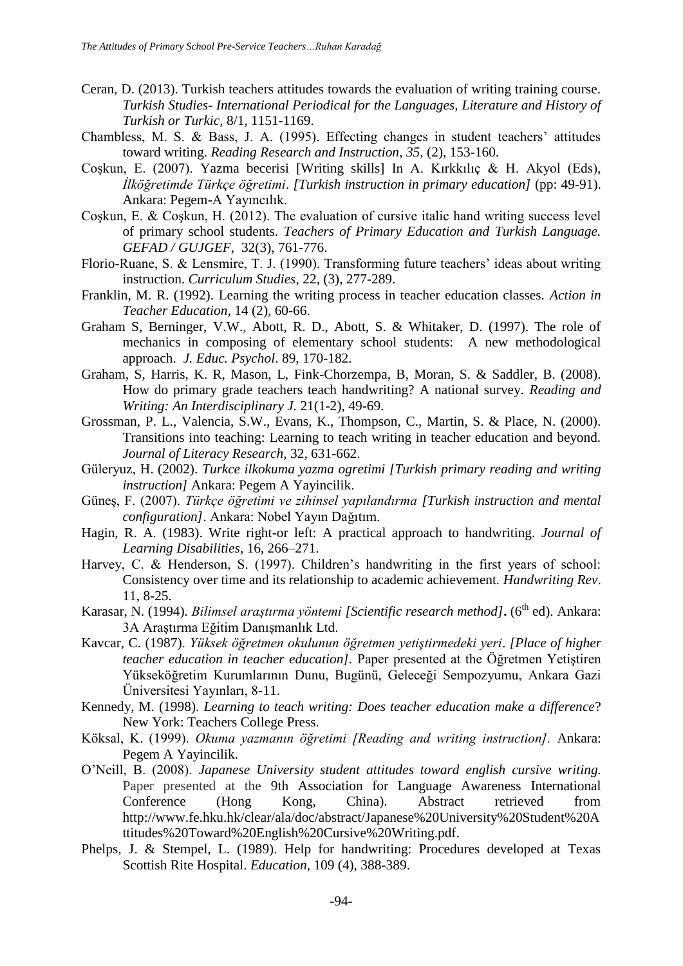- Ceran, D. (2013). Turkish teachers attitudes towards the evaluation of writing training course. *Turkish Studies*- *International Periodical for the Languages, Literature and History of Turkish or Turkic,* 8/1, 1151-1169.
- Chambless, M. S. & Bass, J. A. (1995). Effecting changes in student teachers' attitudes toward writing. *Reading Research and Instruction, 35,* (2), 153-160.
- Coşkun, E. (2007). Yazma becerisi [Writing skills] In A. Kırkkılıç & H. Akyol (Eds), *İlköğretimde Türkçe öğretimi*. *[Turkish instruction in primary education]* (pp: 49-91). Ankara: Pegem-A Yayıncılık.
- Coşkun, E. & Coşkun, H. (2012). The evaluation of cursive italic hand writing success level of primary school students. *Teachers of Primary Education and Turkish Language. GEFAD / GUJGEF,* 32(3), 761-776.
- Florio-Ruane, S. & Lensmire, T. J. (1990). Transforming future teachers' ideas about writing instruction. *Curriculum Studies,* 22, (3), 277-289.
- Franklin, M. R. (1992). Learning the writing process in teacher education classes. *Action in Teacher Education,* 14 (2), 60-66.
- Graham S, Berninger, V.W., Abott, R. D., Abott, S. & Whitaker, D. (1997). The role of mechanics in composing of elementary school students: A new methodological approach. *J. Educ. Psychol*. 89, 170-182.
- Graham, S, Harris, K. R, Mason, L, Fink-Chorzempa, B, Moran, S. & Saddler, B. (2008). How do primary grade teachers teach handwriting? A national survey. *Reading and Writing: An Interdisciplinary J.* 21(1-2), 49-69.
- Grossman, P. L., Valencia, S.W., Evans, K., Thompson, C., Martin, S. & Place, N. (2000). Transitions into teaching: Learning to teach writing in teacher education and beyond. *Journal of Literacy Research,* 32, 631-662.
- Güleryuz, H. (2002). *Turkce ilkokuma yazma ogretimi [Turkish primary reading and writing instruction]* Ankara: Pegem A Yayincilik.
- Güneş, F. (2007). *Türkçe öğretimi ve zihinsel yapılandırma [Turkish instruction and mental configuration]*. Ankara: Nobel Yayın Dağıtım.
- Hagin, R. A. (1983). Write right-or left: A practical approach to handwriting. *Journal of Learning Disabilities*, 16, 266–271.
- Harvey, C. & Henderson, S. (1997). Children's handwriting in the first years of school: Consistency over time and its relationship to academic achievement*. Handwriting Rev*. 11, 8-25.
- Karasar, N. (1994). *Bilimsel araştırma yöntemi [Scientific research method]***.** (6<sup>th</sup> ed). Ankara: 3A Araştırma Eğitim Danışmanlık Ltd.
- Kavcar, C. (1987). *Yüksek öğretmen okulunun öğretmen yetiştirmedeki yeri*. *[Place of higher teacher education in teacher education].* Paper presented at the Öğretmen Yetiştiren Yükseköğretim Kurumlarının Dunu, Bugünü, Geleceği Sempozyumu, Ankara Gazi Üniversitesi Yayınları, 8-11.
- Kennedy, M. (1998). *Learning to teach writing: Does teacher education make a difference*? New York: Teachers College Press.
- Köksal, K. (1999). *Okuma yazmanın öğretimi [Reading and writing instruction].* Ankara: Pegem A Yayincilik.
- O'Neill, B. (2008). *Japanese University student attitudes toward english cursive writing.* Paper presented at the 9th Association for Language Awareness International Conference (Hong Kong, China). Abstract retrieved from http://www.fe.hku.hk/clear/ala/doc/abstract/Japanese%20University%20Student%20A ttitudes%20Toward%20English%20Cursive%20Writing.pdf.
- Phelps, J. & Stempel, L. (1989). Help for handwriting: Procedures developed at Texas Scottish Rite Hospital. *Education*, 109 (4), 388-389.